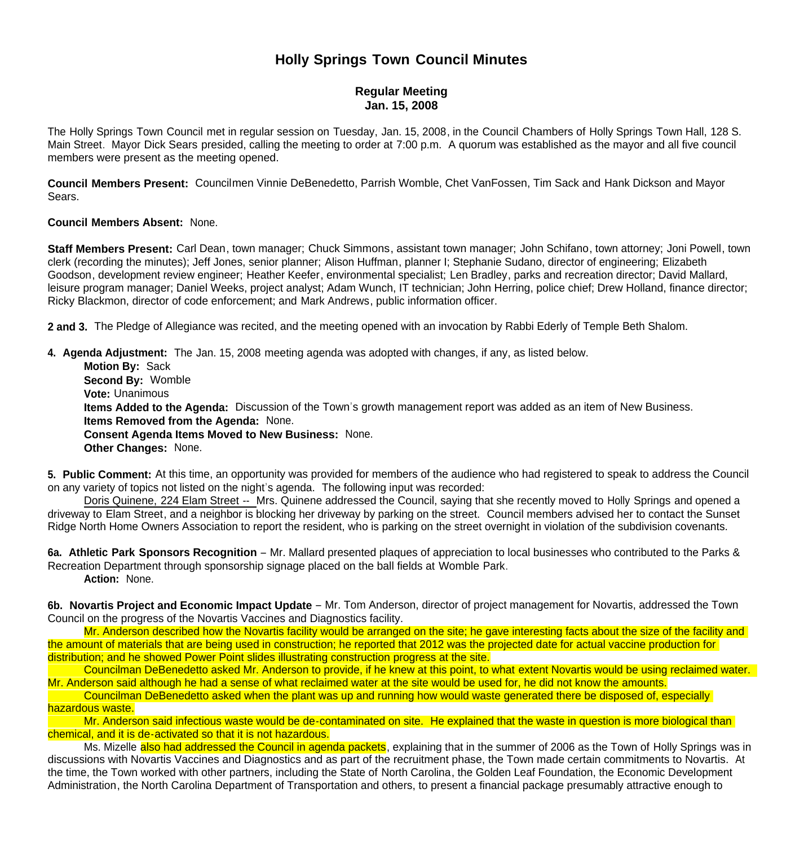## **Holly Springs Town Council Minutes**

## **Regular Meeting Jan. 15, 2008**

The Holly Springs Town Council met in regular session on Tuesday, Jan. 15, 2008, in the Council Chambers of Holly Springs Town Hall, 128 S. Main Street. Mayor Dick Sears presided, calling the meeting to order at 7:00 p.m. A quorum was established as the mayor and all five council members were present as the meeting opened.

**Council Members Present:** Councilmen Vinnie DeBenedetto, Parrish Womble, Chet VanFossen, Tim Sack and Hank Dickson and Mayor Sears.

## **Council Members Absent:** None.

**Staff Members Present:** Carl Dean, town manager; Chuck Simmons, assistant town manager; John Schifano, town attorney; Joni Powell, town clerk (recording the minutes); Jeff Jones, senior planner; Alison Huffman, planner I; Stephanie Sudano, director of engineering; Elizabeth Goodson, development review engineer; Heather Keefer, environmental specialist; Len Bradley, parks and recreation director; David Mallard, leisure program manager; Daniel Weeks, project analyst; Adam Wunch, IT technician; John Herring, police chief; Drew Holland, finance director; Ricky Blackmon, director of code enforcement; and Mark Andrews, public information officer.

**2 and 3.** The Pledge of Allegiance was recited, and the meeting opened with an invocation by Rabbi Ederly of Temple Beth Shalom.

**4. Agenda Adjustment:** The Jan. 15, 2008 meeting agenda was adopted with changes, if any, as listed below.

 **Motion By:** Sack **Second By:** Womble **Vote:** Unanimous  **Items Added to the Agenda:** Discussion of the Town's growth management report was added as an item of New Business. **Items Removed from the Agenda:** None. **Consent Agenda Items Moved to New Business:** None. **Other Changes:** None.

**5. Public Comment:** At this time, an opportunity was provided for members of the audience who had registered to speak to address the Council on any variety of topics not listed on the night's agenda. The following input was recorded:

Doris Quinene, 224 Elam Street -- Mrs. Quinene addressed the Council, saying that she recently moved to Holly Springs and opened a driveway to Elam Street, and a neighbor is blocking her driveway by parking on the street. Council members advised her to contact the Sunset Ridge North Home Owners Association to report the resident, who is parking on the street overnight in violation of the subdivision covenants.

**6a. Athletic Park Sponsors Recognition** – Mr. Mallard presented plaques of appreciation to local businesses who contributed to the Parks & Recreation Department through sponsorship signage placed on the ball fields at Womble Park.  **Action:** None.

**6b. Novartis Project and Economic Impact Update** – Mr. Tom Anderson, director of project management for Novartis, addressed the Town Council on the progress of the Novartis Vaccines and Diagnostics facility.

 Mr. Anderson described how the Novartis facility would be arranged on the site; he gave interesting facts about the size of the facility and the amount of materials that are being used in construction; he reported that 2012 was the projected date for actual vaccine production for distribution; and he showed Power Point slides illustrating construction progress at the site.

 Councilman DeBenedetto asked Mr. Anderson to provide, if he knew at this point, to what extent Novartis would be using reclaimed water. Mr. Anderson said although he had a sense of what reclaimed water at the site would be used for, he did not know the amounts.

 Councilman DeBenedetto asked when the plant was up and running how would waste generated there be disposed of, especially hazardous waste.

Mr. Anderson said infectious waste would be de-contaminated on site. He explained that the waste in question is more biological than chemical, and it is de-activated so that it is not hazardous.

Ms. Mizelle also had addressed the Council in agenda packets, explaining that in the summer of 2006 as the Town of Holly Springs was in discussions with Novartis Vaccines and Diagnostics and as part of the recruitment phase, the Town made certain commitments to Novartis. At the time, the Town worked with other partners, including the State of North Carolina, the Golden Leaf Foundation, the Economic Development Administration, the North Carolina Department of Transportation and others, to present a financial package presumably attractive enough to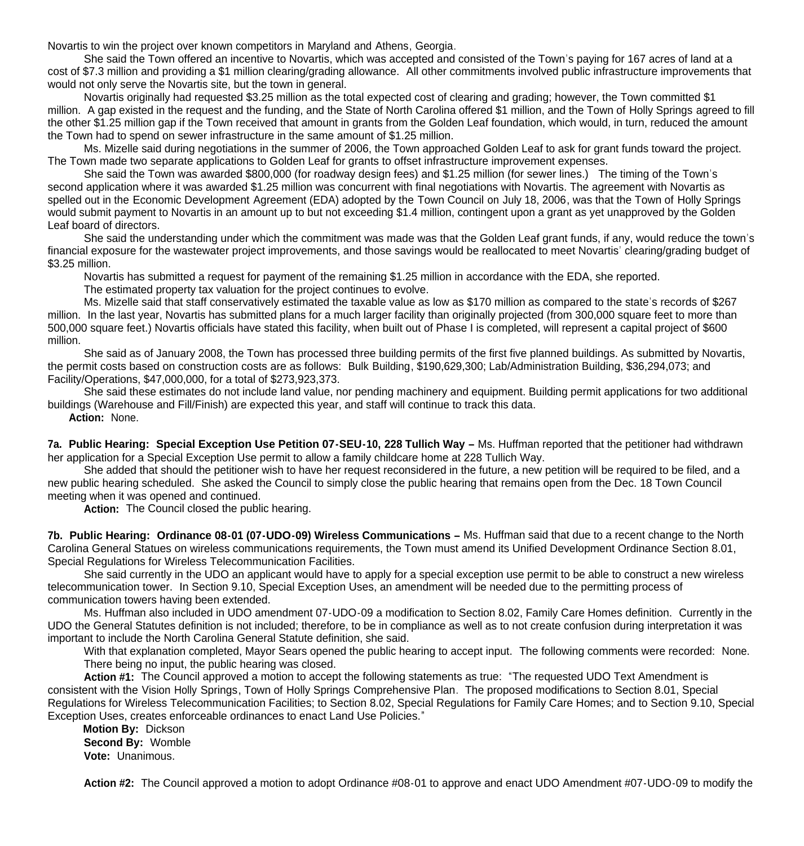Novartis to win the project over known competitors in Maryland and Athens, Georgia.

 She said the Town offered an incentive to Novartis, which was accepted and consisted of the Town's paying for 167 acres of land at a cost of \$7.3 million and providing a \$1 million clearing/grading allowance. All other commitments involved public infrastructure improvements that would not only serve the Novartis site, but the town in general.

 Novartis originally had requested \$3.25 million as the total expected cost of clearing and grading; however, the Town committed \$1 million. A gap existed in the request and the funding, and the State of North Carolina offered \$1 million, and the Town of Holly Springs agreed to fill the other \$1.25 million gap if the Town received that amount in grants from the Golden Leaf foundation, which would, in turn, reduced the amount the Town had to spend on sewer infrastructure in the same amount of \$1.25 million.

 Ms. Mizelle said during negotiations in the summer of 2006, the Town approached Golden Leaf to ask for grant funds toward the project. The Town made two separate applications to Golden Leaf for grants to offset infrastructure improvement expenses.

 She said the Town was awarded \$800,000 (for roadway design fees) and \$1.25 million (for sewer lines.) The timing of the Town's second application where it was awarded \$1.25 million was concurrent with final negotiations with Novartis. The agreement with Novartis as spelled out in the Economic Development Agreement (EDA) adopted by the Town Council on July 18, 2006, was that the Town of Holly Springs would submit payment to Novartis in an amount up to but not exceeding \$1.4 million, contingent upon a grant as yet unapproved by the Golden Leaf board of directors.

 She said the understanding under which the commitment was made was that the Golden Leaf grant funds, if any, would reduce the town's financial exposure for the wastewater project improvements, and those savings would be reallocated to meet Novartis' clearing/grading budget of \$3.25 million.

Novartis has submitted a request for payment of the remaining \$1.25 million in accordance with the EDA, she reported.

The estimated property tax valuation for the project continues to evolve.

 Ms. Mizelle said that staff conservatively estimated the taxable value as low as \$170 million as compared to the state's records of \$267 million. In the last year, Novartis has submitted plans for a much larger facility than originally projected (from 300,000 square feet to more than 500,000 square feet.) Novartis officials have stated this facility, when built out of Phase I is completed, will represent a capital project of \$600 million.

 She said as of January 2008, the Town has processed three building permits of the first five planned buildings. As submitted by Novartis, the permit costs based on construction costs are as follows: Bulk Building, \$190,629,300; Lab/Administration Building, \$36,294,073; and Facility/Operations, \$47,000,000, for a total of \$273,923,373.

She said these estimates do not include land value, nor pending machinery and equipment. Building permit applications for two additional buildings (Warehouse and Fill/Finish) are expected this year, and staff will continue to track this data.

**Action:** None.

**7a. Public Hearing: Special Exception Use Petition 07-SEU-10, 228 Tullich Way –** Ms. Huffman reported that the petitioner had withdrawn her application for a Special Exception Use permit to allow a family childcare home at 228 Tullich Way.

 She added that should the petitioner wish to have her request reconsidered in the future, a new petition will be required to be filed, and a new public hearing scheduled. She asked the Council to simply close the public hearing that remains open from the Dec. 18 Town Council meeting when it was opened and continued.

Action: The Council closed the public hearing.

**7b. Public Hearing: Ordinance 08-01 (07-UDO-09) Wireless Communications –** Ms. Huffman said that due to a recent change to the North Carolina General Statues on wireless communications requirements, the Town must amend its Unified Development Ordinance Section 8.01, Special Regulations for Wireless Telecommunication Facilities.

 She said currently in the UDO an applicant would have to apply for a special exception use permit to be able to construct a new wireless telecommunication tower. In Section 9.10, Special Exception Uses, an amendment will be needed due to the permitting process of communication towers having been extended.

 Ms. Huffman also included in UDO amendment 07-UDO-09 a modification to Section 8.02, Family Care Homes definition. Currently in the UDO the General Statutes definition is not included; therefore, to be in compliance as well as to not create confusion during interpretation it was important to include the North Carolina General Statute definition, she said.

With that explanation completed, Mayor Sears opened the public hearing to accept input. The following comments were recorded: None. There being no input, the public hearing was closed.

 **Action #1:** The Council approved a motion to accept the following statements as true: "The requested UDO Text Amendment is consistent with the Vision Holly Springs, Town of Holly Springs Comprehensive Plan. The proposed modifications to Section 8.01, Special Regulations for Wireless Telecommunication Facilities; to Section 8.02, Special Regulations for Family Care Homes; and to Section 9.10, Special Exception Uses, creates enforceable ordinances to enact Land Use Policies."

 **Motion By:** Dickson **Second By:** Womble **Vote:** Unanimous.

 **Action #2:** The Council approved a motion to adopt Ordinance #08-01 to approve and enact UDO Amendment #07-UDO-09 to modify the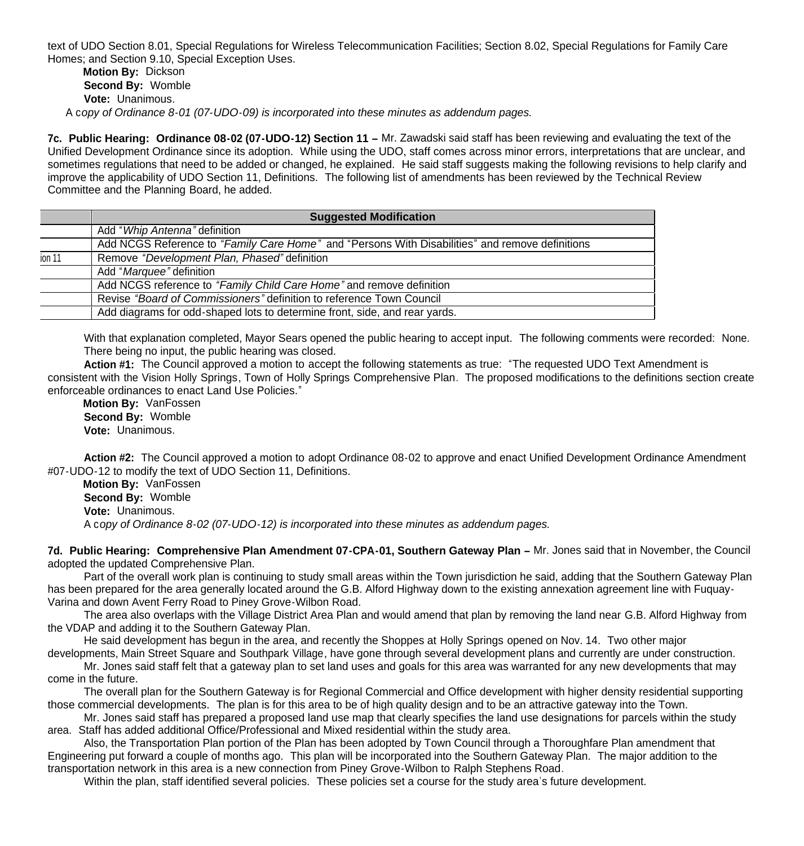text of UDO Section 8.01, Special Regulations for Wireless Telecommunication Facilities; Section 8.02, Special Regulations for Family Care Homes; and Section 9.10, Special Exception Uses.

 **Motion By:** Dickson **Second By:** Womble **Vote:** Unanimous. A c*opy of Ordinance 8-01 (07-UDO-09) is incorporated into these minutes as addendum pages.*

**7c. Public Hearing: Ordinance 08-02 (07-UDO-12) Section 11 –** Mr. Zawadski said staff has been reviewing and evaluating the text of the Unified Development Ordinance since its adoption. While using the UDO, staff comes across minor errors, interpretations that are unclear, and sometimes regulations that need to be added or changed, he explained. He said staff suggests making the following revisions to help clarify and improve the applicability of UDO Section 11, Definitions. The following list of amendments has been reviewed by the Technical Review Committee and the Planning Board, he added.

|        | <b>Suggested Modification</b>                                                                   |
|--------|-------------------------------------------------------------------------------------------------|
|        | Add "Whip Antenna" definition                                                                   |
|        | Add NCGS Reference to "Family Care Home" and "Persons With Disabilities" and remove definitions |
| ion 11 | Remove "Development Plan, Phased" definition                                                    |
|        | Add "Marquee" definition                                                                        |
|        | Add NCGS reference to "Family Child Care Home" and remove definition                            |
|        | Revise "Board of Commissioners" definition to reference Town Council                            |
|        | Add diagrams for odd-shaped lots to determine front, side, and rear yards.                      |

With that explanation completed, Mayor Sears opened the public hearing to accept input. The following comments were recorded: None. There being no input, the public hearing was closed.

 **Action #1:** The Council approved a motion to accept the following statements as true: "The requested UDO Text Amendment is consistent with the Vision Holly Springs, Town of Holly Springs Comprehensive Plan. The proposed modifications to the definitions section create enforceable ordinances to enact Land Use Policies."

 **Motion By:** VanFossen **Second By:** Womble **Vote:** Unanimous.

 **Action #2:** The Council approved a motion to adopt Ordinance 08-02 to approve and enact Unified Development Ordinance Amendment #07-UDO-12 to modify the text of UDO Section 11, Definitions.

 **Motion By:** VanFossen **Second By:** Womble **Vote:** Unanimous. A c*opy of Ordinance 8-02 (07-UDO-12) is incorporated into these minutes as addendum pages.*

**7d. Public Hearing: Comprehensive Plan Amendment 07-CPA-01, Southern Gateway Plan –** Mr. Jones said that in November, the Council adopted the updated Comprehensive Plan.

 Part of the overall work plan is continuing to study small areas within the Town jurisdiction he said, adding that the Southern Gateway Plan has been prepared for the area generally located around the G.B. Alford Highway down to the existing annexation agreement line with Fuquay-Varina and down Avent Ferry Road to Piney Grove-Wilbon Road.

 The area also overlaps with the Village District Area Plan and would amend that plan by removing the land near G.B. Alford Highway from the VDAP and adding it to the Southern Gateway Plan.

 He said development has begun in the area, and recently the Shoppes at Holly Springs opened on Nov. 14. Two other major developments, Main Street Square and Southpark Village, have gone through several development plans and currently are under construction.

 Mr. Jones said staff felt that a gateway plan to set land uses and goals for this area was warranted for any new developments that may come in the future.

 The overall plan for the Southern Gateway is for Regional Commercial and Office development with higher density residential supporting those commercial developments. The plan is for this area to be of high quality design and to be an attractive gateway into the Town.

 Mr. Jones said staff has prepared a proposed land use map that clearly specifies the land use designations for parcels within the study area. Staff has added additional Office/Professional and Mixed residential within the study area.

 Also, the Transportation Plan portion of the Plan has been adopted by Town Council through a Thoroughfare Plan amendment that Engineering put forward a couple of months ago. This plan will be incorporated into the Southern Gateway Plan. The major addition to the transportation network in this area is a new connection from Piney Grove-Wilbon to Ralph Stephens Road.

Within the plan, staff identified several policies. These policies set a course for the study area's future development.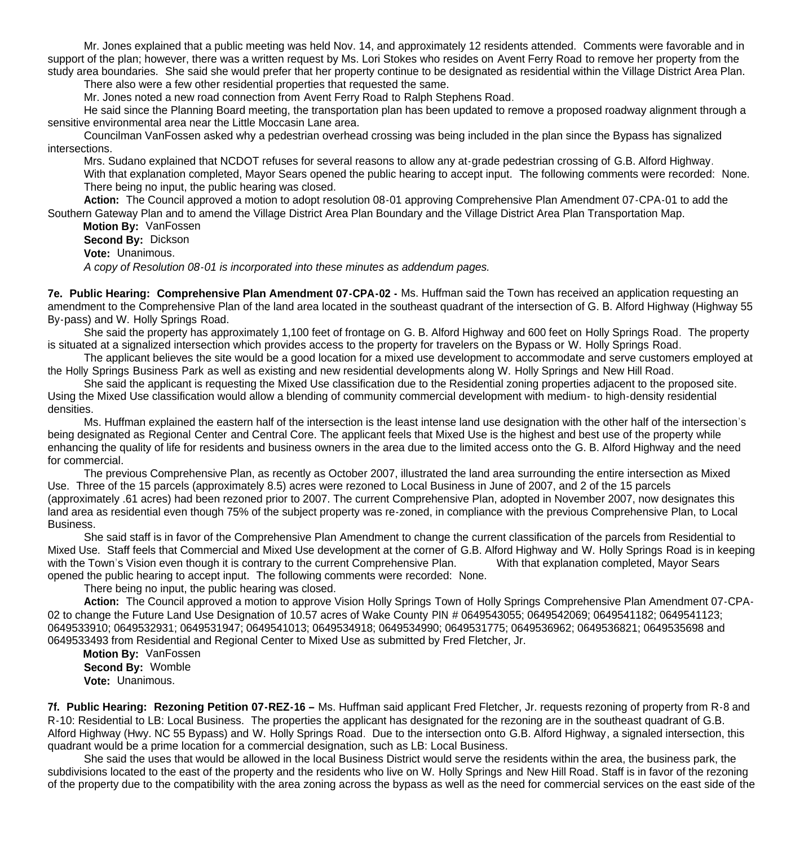Mr. Jones explained that a public meeting was held Nov. 14, and approximately 12 residents attended. Comments were favorable and in support of the plan; however, there was a written request by Ms. Lori Stokes who resides on Avent Ferry Road to remove her property from the study area boundaries. She said she would prefer that her property continue to be designated as residential within the Village District Area Plan.

There also were a few other residential properties that requested the same.

Mr. Jones noted a new road connection from Avent Ferry Road to Ralph Stephens Road.

 He said since the Planning Board meeting, the transportation plan has been updated to remove a proposed roadway alignment through a sensitive environmental area near the Little Moccasin Lane area.

 Councilman VanFossen asked why a pedestrian overhead crossing was being included in the plan since the Bypass has signalized intersections.

 Mrs. Sudano explained that NCDOT refuses for several reasons to allow any at-grade pedestrian crossing of G.B. Alford Highway. With that explanation completed, Mayor Sears opened the public hearing to accept input. The following comments were recorded: None. There being no input, the public hearing was closed.

 **Action:** The Council approved a motion to adopt resolution 08-01 approving Comprehensive Plan Amendment 07-CPA-01 to add the Southern Gateway Plan and to amend the Village District Area Plan Boundary and the Village District Area Plan Transportation Map.

 **Motion By:** VanFossen **Second By:** Dickson **Vote:** Unanimous. *A copy of Resolution 08-01 is incorporated into these minutes as addendum pages.*

**7e. Public Hearing: Comprehensive Plan Amendment 07-CPA-02 -** Ms. Huffman said the Town has received an application requesting an amendment to the Comprehensive Plan of the land area located in the southeast quadrant of the intersection of G. B. Alford Highway (Highway 55 By-pass) and W. Holly Springs Road.

 She said the property has approximately 1,100 feet of frontage on G. B. Alford Highway and 600 feet on Holly Springs Road. The property is situated at a signalized intersection which provides access to the property for travelers on the Bypass or W. Holly Springs Road.

 The applicant believes the site would be a good location for a mixed use development to accommodate and serve customers employed at the Holly Springs Business Park as well as existing and new residential developments along W. Holly Springs and New Hill Road.

 She said the applicant is requesting the Mixed Use classification due to the Residential zoning properties adjacent to the proposed site. Using the Mixed Use classification would allow a blending of community commercial development with medium- to high-density residential densities.

 Ms. Huffman explained the eastern half of the intersection is the least intense land use designation with the other half of the intersection's being designated as Regional Center and Central Core. The applicant feels that Mixed Use is the highest and best use of the property while enhancing the quality of life for residents and business owners in the area due to the limited access onto the G. B. Alford Highway and the need for commercial.

 The previous Comprehensive Plan, as recently as October 2007, illustrated the land area surrounding the entire intersection as Mixed Use. Three of the 15 parcels (approximately 8.5) acres were rezoned to Local Business in June of 2007, and 2 of the 15 parcels (approximately .61 acres) had been rezoned prior to 2007. The current Comprehensive Plan, adopted in November 2007, now designates this land area as residential even though 75% of the subject property was re-zoned, in compliance with the previous Comprehensive Plan, to Local Business.

 She said staff is in favor of the Comprehensive Plan Amendment to change the current classification of the parcels from Residential to Mixed Use. Staff feels that Commercial and Mixed Use development at the corner of G.B. Alford Highway and W. Holly Springs Road is in keeping with the Town's Vision even though it is contrary to the current Comprehensive Plan. With that explanation completed, Mayor Sears opened the public hearing to accept input. The following comments were recorded: None.

There being no input, the public hearing was closed.

 **Action:** The Council approved a motion to approve Vision Holly Springs Town of Holly Springs Comprehensive Plan Amendment 07-CPA-02 to change the Future Land Use Designation of 10.57 acres of Wake County PIN # 0649543055; 0649542069; 0649541182; 0649541123; 0649533910; 0649532931; 0649531947; 0649541013; 0649534918; 0649534990; 0649531775; 0649536962; 0649536821; 0649535698 and 0649533493 from Residential and Regional Center to Mixed Use as submitted by Fred Fletcher, Jr.

 **Motion By:** VanFossen **Second By:** Womble **Vote:** Unanimous.

**7f. Public Hearing: Rezoning Petition 07-REZ-16 –** Ms. Huffman said applicant Fred Fletcher, Jr. requests rezoning of property from R-8 and R-10: Residential to LB: Local Business. The properties the applicant has designated for the rezoning are in the southeast quadrant of G.B. Alford Highway (Hwy. NC 55 Bypass) and W. Holly Springs Road. Due to the intersection onto G.B. Alford Highway, a signaled intersection, this quadrant would be a prime location for a commercial designation, such as LB: Local Business.

 She said the uses that would be allowed in the local Business District would serve the residents within the area, the business park, the subdivisions located to the east of the property and the residents who live on W. Holly Springs and New Hill Road. Staff is in favor of the rezoning of the property due to the compatibility with the area zoning across the bypass as well as the need for commercial services on the east side of the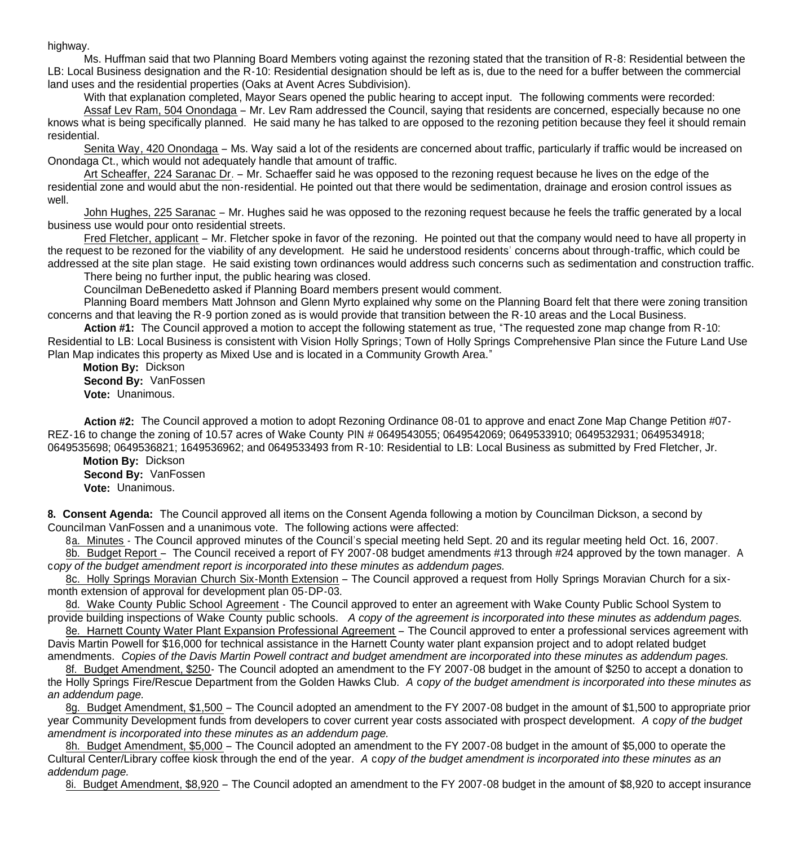highway.

Ms. Huffman said that two Planning Board Members voting against the rezoning stated that the transition of R-8: Residential between the LB: Local Business designation and the R-10: Residential designation should be left as is, due to the need for a buffer between the commercial land uses and the residential properties (Oaks at Avent Acres Subdivision).

With that explanation completed, Mayor Sears opened the public hearing to accept input. The following comments were recorded:

Assaf Lev Ram, 504 Onondaga – Mr. Lev Ram addressed the Council, saying that residents are concerned, especially because no one knows what is being specifically planned. He said many he has talked to are opposed to the rezoning petition because they feel it should remain residential.

Senita Way, 420 Onondaga – Ms. Way said a lot of the residents are concerned about traffic, particularly if traffic would be increased on Onondaga Ct., which would not adequately handle that amount of traffic.

Art Scheaffer, 224 Saranac Dr. – Mr. Schaeffer said he was opposed to the rezoning request because he lives on the edge of the residential zone and would abut the non-residential. He pointed out that there would be sedimentation, drainage and erosion control issues as well.

John Hughes, 225 Saranac – Mr. Hughes said he was opposed to the rezoning request because he feels the traffic generated by a local business use would pour onto residential streets.

Fred Fletcher, applicant – Mr. Fletcher spoke in favor of the rezoning. He pointed out that the company would need to have all property in the request to be rezoned for the viability of any development. He said he understood residents' concerns about through-traffic, which could be addressed at the site plan stage. He said existing town ordinances would address such concerns such as sedimentation and construction traffic.

There being no further input, the public hearing was closed.

Councilman DeBenedetto asked if Planning Board members present would comment.

Planning Board members Matt Johnson and Glenn Myrto explained why some on the Planning Board felt that there were zoning transition concerns and that leaving the R-9 portion zoned as is would provide that transition between the R-10 areas and the Local Business.

 **Action #1:** The Council approved a motion to accept the following statement as true, "The requested zone map change from R-10: Residential to LB: Local Business is consistent with Vision Holly Springs; Town of Holly Springs Comprehensive Plan since the Future Land Use Plan Map indicates this property as Mixed Use and is located in a Community Growth Area."

 **Motion By:** Dickson **Second By:** VanFossen **Vote:** Unanimous.

 **Action #2:** The Council approved a motion to adopt Rezoning Ordinance 08-01 to approve and enact Zone Map Change Petition #07- REZ-16 to change the zoning of 10.57 acres of Wake County PIN # 0649543055; 0649542069; 0649533910; 0649532931; 0649534918; 0649535698; 0649536821; 1649536962; and 0649533493 from R-10: Residential to LB: Local Business as submitted by Fred Fletcher, Jr.

 **Motion By:** Dickson **Second By:** VanFossen **Vote:** Unanimous.

**8. Consent Agenda:** The Council approved all items on the Consent Agenda following a motion by Councilman Dickson, a second by Councilman VanFossen and a unanimous vote. The following actions were affected:

8a. Minutes - The Council approved minutes of the Council's special meeting held Sept. 20 and its regular meeting held Oct. 16, 2007.

8b. Budget Report - The Council received a report of FY 2007-08 budget amendments #13 through #24 approved by the town manager. A c*opy of the budget amendment report is incorporated into these minutes as addendum pages.*

 8c. Holly Springs Moravian Church Six-Month Extension – The Council approved a request from Holly Springs Moravian Church for a sixmonth extension of approval for development plan 05-DP-03.

8d. Wake County Public School Agreement - The Council approved to enter an agreement with Wake County Public School System to provide building inspections of Wake County public schools. *A copy of the agreement is incorporated into these minutes as addendum pages.*

8e. Harnett County Water Plant Expansion Professional Agreement - The Council approved to enter a professional services agreement with Davis Martin Powell for \$16,000 for technical assistance in the Harnett County water plant expansion project and to adopt related budget amendments. *Copies of the Davis Martin Powell contract and budget amendment are incorporated into these minutes as addendum pages.*

 8f. Budget Amendment, \$250- The Council adopted an amendment to the FY 2007-08 budget in the amount of \$250 to accept a donation to the Holly Springs Fire/Rescue Department from the Golden Hawks Club. *A* c*opy of the budget amendment is incorporated into these minutes as an addendum page.*

 8g. Budget Amendment, \$1,500 – The Council adopted an amendment to the FY 2007-08 budget in the amount of \$1,500 to appropriate prior year Community Development funds from developers to cover current year costs associated with prospect development. *A* c*opy of the budget amendment is incorporated into these minutes as an addendum page.*

 8h. Budget Amendment, \$5,000 – The Council adopted an amendment to the FY 2007-08 budget in the amount of \$5,000 to operate the Cultural Center/Library coffee kiosk through the end of the year. *A* c*opy of the budget amendment is incorporated into these minutes as an addendum page.*

8i. Budget Amendment, \$8,920 – The Council adopted an amendment to the FY 2007-08 budget in the amount of \$8,920 to accept insurance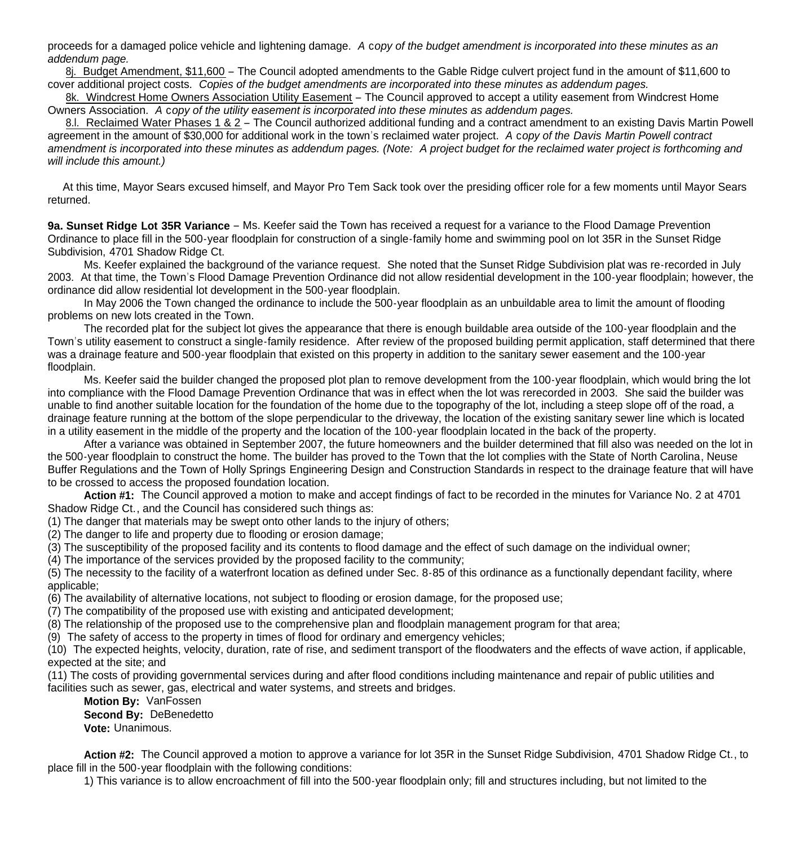proceeds for a damaged police vehicle and lightening damage. *A* c*opy of the budget amendment is incorporated into these minutes as an addendum page.*

 8j. Budget Amendment, \$11,600 – The Council adopted amendments to the Gable Ridge culvert project fund in the amount of \$11,600 to cover additional project costs. *Copies of the budget amendments are incorporated into these minutes as addendum pages.*

8k. Windcrest Home Owners Association Utility Easement – The Council approved to accept a utility easement from Windcrest Home Owners Association. *A* c*opy of the utility easement is incorporated into these minutes as addendum pages.*

8.l. Reclaimed Water Phases 1 & 2 – The Council authorized additional funding and a contract amendment to an existing Davis Martin Powell agreement in the amount of \$30,000 for additional work in the town's reclaimed water project. *A* c*opy of the Davis Martin Powell contract amendment is incorporated into these minutes as addendum pages. (Note: A project budget for the reclaimed water project is forthcoming and will include this amount.)*

 At this time, Mayor Sears excused himself, and Mayor Pro Tem Sack took over the presiding officer role for a few moments until Mayor Sears returned.

**9a. Sunset Ridge Lot 35R Variance** – Ms. Keefer said the Town has received a request for a variance to the Flood Damage Prevention Ordinance to place fill in the 500-year floodplain for construction of a single-family home and swimming pool on lot 35R in the Sunset Ridge Subdivision, 4701 Shadow Ridge Ct.

Ms. Keefer explained the background of the variance request. She noted that the Sunset Ridge Subdivision plat was re-recorded in July 2003. At that time, the Town's Flood Damage Prevention Ordinance did not allow residential development in the 100-year floodplain; however, the ordinance did allow residential lot development in the 500-year floodplain.

In May 2006 the Town changed the ordinance to include the 500-year floodplain as an unbuildable area to limit the amount of flooding problems on new lots created in the Town.

The recorded plat for the subject lot gives the appearance that there is enough buildable area outside of the 100-year floodplain and the Town's utility easement to construct a single-family residence. After review of the proposed building permit application, staff determined that there was a drainage feature and 500-year floodplain that existed on this property in addition to the sanitary sewer easement and the 100-year floodplain.

Ms. Keefer said the builder changed the proposed plot plan to remove development from the 100-year floodplain, which would bring the lot into compliance with the Flood Damage Prevention Ordinance that was in effect when the lot was rerecorded in 2003. She said the builder was unable to find another suitable location for the foundation of the home due to the topography of the lot, including a steep slope off of the road, a drainage feature running at the bottom of the slope perpendicular to the driveway, the location of the existing sanitary sewer line which is located in a utility easement in the middle of the property and the location of the 100-year floodplain located in the back of the property.

After a variance was obtained in September 2007, the future homeowners and the builder determined that fill also was needed on the lot in the 500-year floodplain to construct the home. The builder has proved to the Town that the lot complies with the State of North Carolina, Neuse Buffer Regulations and the Town of Holly Springs Engineering Design and Construction Standards in respect to the drainage feature that will have to be crossed to access the proposed foundation location.

 **Action #1:** The Council approved a motion to make and accept findings of fact to be recorded in the minutes for Variance No. 2 at 4701 Shadow Ridge Ct., and the Council has considered such things as:

(1) The danger that materials may be swept onto other lands to the injury of others;

(2) The danger to life and property due to flooding or erosion damage;

(3) The susceptibility of the proposed facility and its contents to flood damage and the effect of such damage on the individual owner;

(4) The importance of the services provided by the proposed facility to the community;

(5) The necessity to the facility of a waterfront location as defined under Sec. 8-85 of this ordinance as a functionally dependant facility, where applicable;

(6) The availability of alternative locations, not subject to flooding or erosion damage, for the proposed use;

(7) The compatibility of the proposed use with existing and anticipated development;

(8) The relationship of the proposed use to the comprehensive plan and floodplain management program for that area;

(9) The safety of access to the property in times of flood for ordinary and emergency vehicles;

(10) The expected heights, velocity, duration, rate of rise, and sediment transport of the floodwaters and the effects of wave action, if applicable, expected at the site; and

(11) The costs of providing governmental services during and after flood conditions including maintenance and repair of public utilities and facilities such as sewer, gas, electrical and water systems, and streets and bridges.

 **Motion By:** VanFossen **Second By: DeBenedetto Vote:** Unanimous.

**Action #2:** The Council approved a motion to approve a variance for lot 35R in the Sunset Ridge Subdivision, 4701 Shadow Ridge Ct., to place fill in the 500-year floodplain with the following conditions:

1) This variance is to allow encroachment of fill into the 500-year floodplain only; fill and structures including, but not limited to the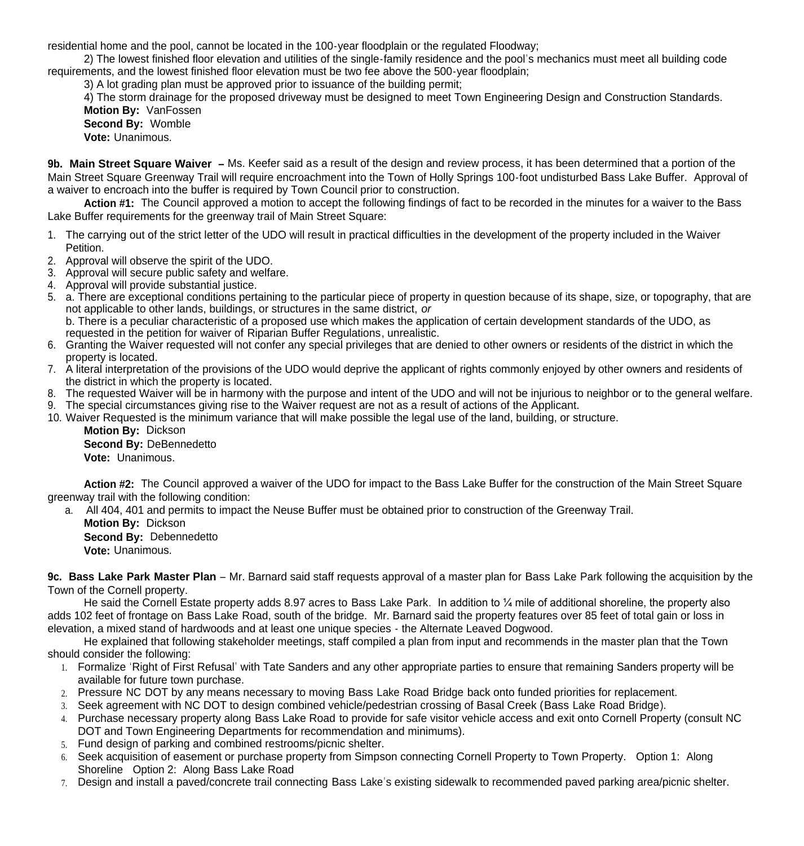residential home and the pool, cannot be located in the 100-year floodplain or the regulated Floodway;

 2) The lowest finished floor elevation and utilities of the single-family residence and the pool's mechanics must meet all building code requirements, and the lowest finished floor elevation must be two fee above the 500-year floodplain;

3) A lot grading plan must be approved prior to issuance of the building permit;

 4) The storm drainage for the proposed driveway must be designed to meet Town Engineering Design and Construction Standards. **Motion By: VanFossen** 

 **Second By:** Womble **Vote:** Unanimous.

**9b. Main Street Square Waiver –** Ms. Keefer said as a result of the design and review process, it has been determined that a portion of the Main Street Square Greenway Trail will require encroachment into the Town of Holly Springs 100-foot undisturbed Bass Lake Buffer. Approval of a waiver to encroach into the buffer is required by Town Council prior to construction.

Action #1: The Council approved a motion to accept the following findings of fact to be recorded in the minutes for a waiver to the Bass Lake Buffer requirements for the greenway trail of Main Street Square:

- 1. The carrying out of the strict letter of the UDO will result in practical difficulties in the development of the property included in the Waiver Petition.
- 2. Approval will observe the spirit of the UDO.
- 3. Approval will secure public safety and welfare.
- 4. Approval will provide substantial justice.
- 5. a. There are exceptional conditions pertaining to the particular piece of property in question because of its shape, size, or topography, that are not applicable to other lands, buildings, or structures in the same district, *or* b. There is a peculiar characteristic of a proposed use which makes the application of certain development standards of the UDO, as requested in the petition for waiver of Riparian Buffer Regulations, unrealistic.
- 6. Granting the Waiver requested will not confer any special privileges that are denied to other owners or residents of the district in which the property is located.
- 7. A literal interpretation of the provisions of the UDO would deprive the applicant of rights commonly enjoyed by other owners and residents of the district in which the property is located.
- 8. The requested Waiver will be in harmony with the purpose and intent of the UDO and will not be injurious to neighbor or to the general welfare.
- 9. The special circumstances giving rise to the Waiver request are not as a result of actions of the Applicant.
- 10. Waiver Requested is the minimum variance that will make possible the legal use of the land, building, or structure.

 **Motion By:** Dickson **Second By:** DeBennedetto **Vote:** Unanimous.

 **Action #2:** The Council approved a waiver of the UDO for impact to the Bass Lake Buffer for the construction of the Main Street Square greenway trail with the following condition:

a. All 404, 401 and permits to impact the Neuse Buffer must be obtained prior to construction of the Greenway Trail.

 **Motion By:** Dickson

**Second By: Debennedetto** 

**Vote:** Unanimous.

**9c. Bass Lake Park Master Plan** – Mr. Barnard said staff requests approval of a master plan for Bass Lake Park following the acquisition by the Town of the Cornell property.

 He said the Cornell Estate property adds 8.97 acres to Bass Lake Park. In addition to ¼ mile of additional shoreline, the property also adds 102 feet of frontage on Bass Lake Road, south of the bridge. Mr. Barnard said the property features over 85 feet of total gain or loss in elevation, a mixed stand of hardwoods and at least one unique species - the Alternate Leaved Dogwood.

 He explained that following stakeholder meetings, staff compiled a plan from input and recommends in the master plan that the Town should consider the following:

- 1. Formalize 'Right of First Refusal' with Tate Sanders and any other appropriate parties to ensure that remaining Sanders property will be available for future town purchase.
- 2. Pressure NC DOT by any means necessary to moving Bass Lake Road Bridge back onto funded priorities for replacement.
- 3. Seek agreement with NC DOT to design combined vehicle/pedestrian crossing of Basal Creek (Bass Lake Road Bridge).
- 4. Purchase necessary property along Bass Lake Road to provide for safe visitor vehicle access and exit onto Cornell Property (consult NC DOT and Town Engineering Departments for recommendation and minimums).
- 5. Fund design of parking and combined restrooms/picnic shelter.
- 6. Seek acquisition of easement or purchase property from Simpson connecting Cornell Property to Town Property. Option 1: Along Shoreline Option 2: Along Bass Lake Road
- 7. Design and install a paved/concrete trail connecting Bass Lake's existing sidewalk to recommended paved parking area/picnic shelter.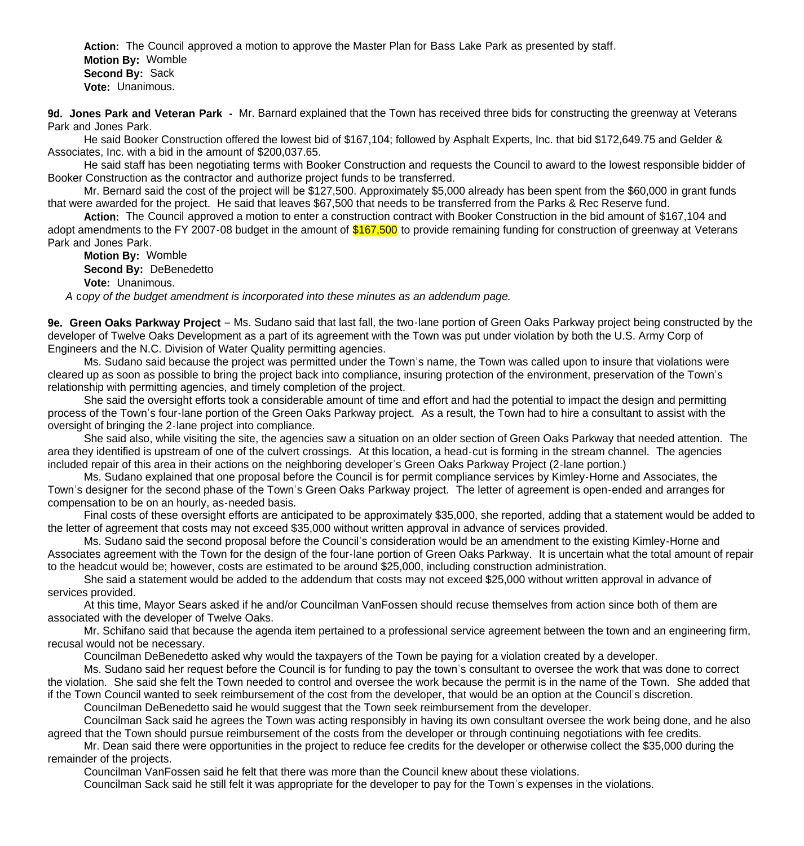**Action:** The Council approved a motion to approve the Master Plan for Bass Lake Park as presented by staff. **Motion By:** Womble **Second By:** Sack **Vote:** Unanimous.

**9d. Jones Park and Veteran Park -** Mr. Barnard explained that the Town has received three bids for constructing the greenway at Veterans Park and Jones Park.

 He said Booker Construction offered the lowest bid of \$167,104; followed by Asphalt Experts, Inc. that bid \$172,649.75 and Gelder & Associates, Inc. with a bid in the amount of \$200,037.65.

 He said staff has been negotiating terms with Booker Construction and requests the Council to award to the lowest responsible bidder of Booker Construction as the contractor and authorize project funds to be transferred.

 Mr. Bernard said the cost of the project will be \$127,500. Approximately \$5,000 already has been spent from the \$60,000 in grant funds that were awarded for the project. He said that leaves \$67,500 that needs to be transferred from the Parks & Rec Reserve fund.

**Action:** The Council approved a motion to enter a construction contract with Booker Construction in the bid amount of \$167,104 and adopt amendments to the FY 2007-08 budget in the amount of \$167,500 to provide remaining funding for construction of greenway at Veterans Park and Jones Park.

**Motion By:** Womble **Second By:** DeBenedetto **Vote:** Unanimous.

 *A* c*opy of the budget amendment is incorporated into these minutes as an addendum page.*

**9e. Green Oaks Parkway Project** – Ms. Sudano said that last fall, the two-lane portion of Green Oaks Parkway project being constructed by the developer of Twelve Oaks Development as a part of its agreement with the Town was put under violation by both the U.S. Army Corp of Engineers and the N.C. Division of Water Quality permitting agencies.

 Ms. Sudano said because the project was permitted under the Town's name, the Town was called upon to insure that violations were cleared up as soon as possible to bring the project back into compliance, insuring protection of the environment, preservation of the Town's relationship with permitting agencies, and timely completion of the project.

 She said the oversight efforts took a considerable amount of time and effort and had the potential to impact the design and permitting process of the Town's four-lane portion of the Green Oaks Parkway project. As a result, the Town had to hire a consultant to assist with the oversight of bringing the 2-lane project into compliance.

 She said also, while visiting the site, the agencies saw a situation on an older section of Green Oaks Parkway that needed attention. The area they identified is upstream of one of the culvert crossings. At this location, a head-cut is forming in the stream channel. The agencies included repair of this area in their actions on the neighboring developer's Green Oaks Parkway Project (2-lane portion.)

 Ms. Sudano explained that one proposal before the Council is for permit compliance services by Kimley-Horne and Associates, the Town's designer for the second phase of the Town's Green Oaks Parkway project. The letter of agreement is open-ended and arranges for compensation to be on an hourly, as-needed basis.

 Final costs of these oversight efforts are anticipated to be approximately \$35,000, she reported, adding that a statement would be added to the letter of agreement that costs may not exceed \$35,000 without written approval in advance of services provided.

 Ms. Sudano said the second proposal before the Council's consideration would be an amendment to the existing Kimley-Horne and Associates agreement with the Town for the design of the four-lane portion of Green Oaks Parkway. It is uncertain what the total amount of repair to the headcut would be; however, costs are estimated to be around \$25,000, including construction administration.

 She said a statement would be added to the addendum that costs may not exceed \$25,000 without written approval in advance of services provided.

 At this time, Mayor Sears asked if he and/or Councilman VanFossen should recuse themselves from action since both of them are associated with the developer of Twelve Oaks.

 Mr. Schifano said that because the agenda item pertained to a professional service agreement between the town and an engineering firm, recusal would not be necessary.

Councilman DeBenedetto asked why would the taxpayers of the Town be paying for a violation created by a developer.

 Ms. Sudano said her request before the Council is for funding to pay the town's consultant to oversee the work that was done to correct the violation. She said she felt the Town needed to control and oversee the work because the permit is in the name of the Town. She added that if the Town Council wanted to seek reimbursement of the cost from the developer, that would be an option at the Council's discretion.

Councilman DeBenedetto said he would suggest that the Town seek reimbursement from the developer.

 Councilman Sack said he agrees the Town was acting responsibly in having its own consultant oversee the work being done, and he also agreed that the Town should pursue reimbursement of the costs from the developer or through continuing negotiations with fee credits.

 Mr. Dean said there were opportunities in the project to reduce fee credits for the developer or otherwise collect the \$35,000 during the remainder of the projects.

Councilman VanFossen said he felt that there was more than the Council knew about these violations.

Councilman Sack said he still felt it was appropriate for the developer to pay for the Town's expenses in the violations.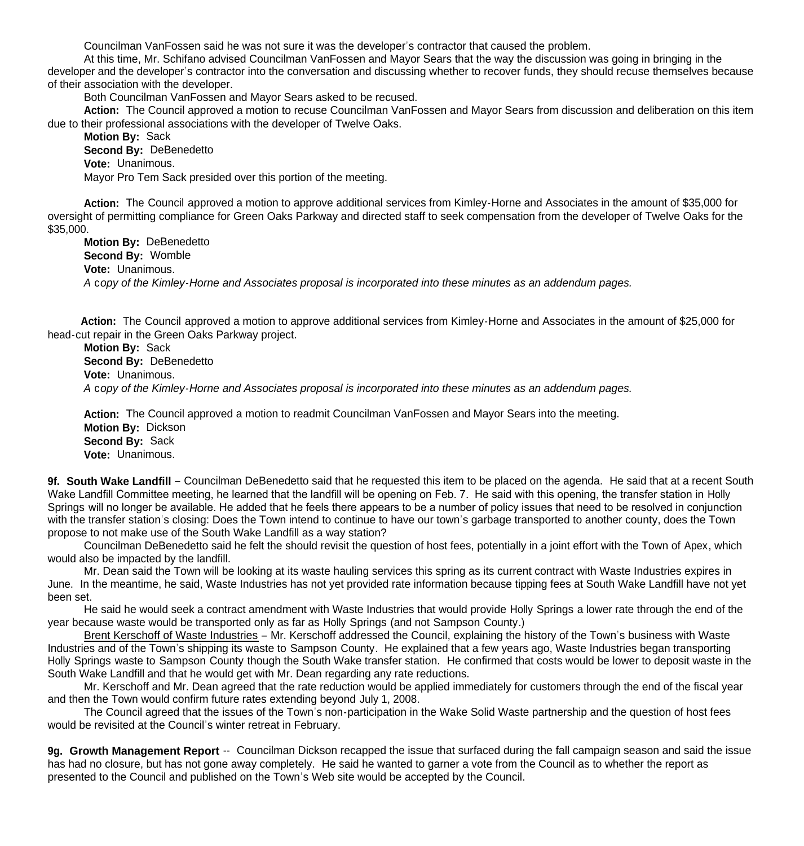Councilman VanFossen said he was not sure it was the developer's contractor that caused the problem.

 At this time, Mr. Schifano advised Councilman VanFossen and Mayor Sears that the way the discussion was going in bringing in the developer and the developer's contractor into the conversation and discussing whether to recover funds, they should recuse themselves because of their association with the developer.

Both Councilman VanFossen and Mayor Sears asked to be recused.

 **Action:** The Council approved a motion to recuse Councilman VanFossen and Mayor Sears from discussion and deliberation on this item due to their professional associations with the developer of Twelve Oaks.

**Motion By:** Sack **Second By:** DeBenedetto **Vote:** Unanimous. Mayor Pro Tem Sack presided over this portion of the meeting.

**Action:** The Council approved a motion to approve additional services from Kimley-Horne and Associates in the amount of \$35,000 for oversight of permitting compliance for Green Oaks Parkway and directed staff to seek compensation from the developer of Twelve Oaks for the \$35,000.

**Motion By:** DeBenedetto **Second By:** Womble **Vote:** Unanimous. *A* c*opy of the Kimley-Horne and Associates proposal is incorporated into these minutes as an addendum pages.*

**Action:** The Council approved a motion to approve additional services from Kimley-Horne and Associates in the amount of \$25,000 for head-cut repair in the Green Oaks Parkway project.

**Motion By:** Sack **Second By:** DeBenedetto **Vote:** Unanimous.  *A* c*opy of the Kimley-Horne and Associates proposal is incorporated into these minutes as an addendum pages.*

**Action:** The Council approved a motion to readmit Councilman VanFossen and Mayor Sears into the meeting. **Motion By:** Dickson **Second By:** Sack **Vote:** Unanimous.

**9f. South Wake Landfill** – Councilman DeBenedetto said that he requested this item to be placed on the agenda. He said that at a recent South Wake Landfill Committee meeting, he learned that the landfill will be opening on Feb. 7. He said with this opening, the transfer station in Holly Springs will no longer be available. He added that he feels there appears to be a number of policy issues that need to be resolved in conjunction with the transfer station's closing: Does the Town intend to continue to have our town's garbage transported to another county, does the Town propose to not make use of the South Wake Landfill as a way station?

 Councilman DeBenedetto said he felt the should revisit the question of host fees, potentially in a joint effort with the Town of Apex, which would also be impacted by the landfill.

 Mr. Dean said the Town will be looking at its waste hauling services this spring as its current contract with Waste Industries expires in June. In the meantime, he said, Waste Industries has not yet provided rate information because tipping fees at South Wake Landfill have not yet been set.

 He said he would seek a contract amendment with Waste Industries that would provide Holly Springs a lower rate through the end of the year because waste would be transported only as far as Holly Springs (and not Sampson County.)

 Brent Kerschoff of Waste Industries – Mr. Kerschoff addressed the Council, explaining the history of the Town's business with Waste Industries and of the Town's shipping its waste to Sampson County. He explained that a few years ago, Waste Industries began transporting Holly Springs waste to Sampson County though the South Wake transfer station. He confirmed that costs would be lower to deposit waste in the South Wake Landfill and that he would get with Mr. Dean regarding any rate reductions.

 Mr. Kerschoff and Mr. Dean agreed that the rate reduction would be applied immediately for customers through the end of the fiscal year and then the Town would confirm future rates extending beyond July 1, 2008.

 The Council agreed that the issues of the Town's non-participation in the Wake Solid Waste partnership and the question of host fees would be revisited at the Council's winter retreat in February.

**9g. Growth Management Report** -- Councilman Dickson recapped the issue that surfaced during the fall campaign season and said the issue has had no closure, but has not gone away completely. He said he wanted to garner a vote from the Council as to whether the report as presented to the Council and published on the Town's Web site would be accepted by the Council.